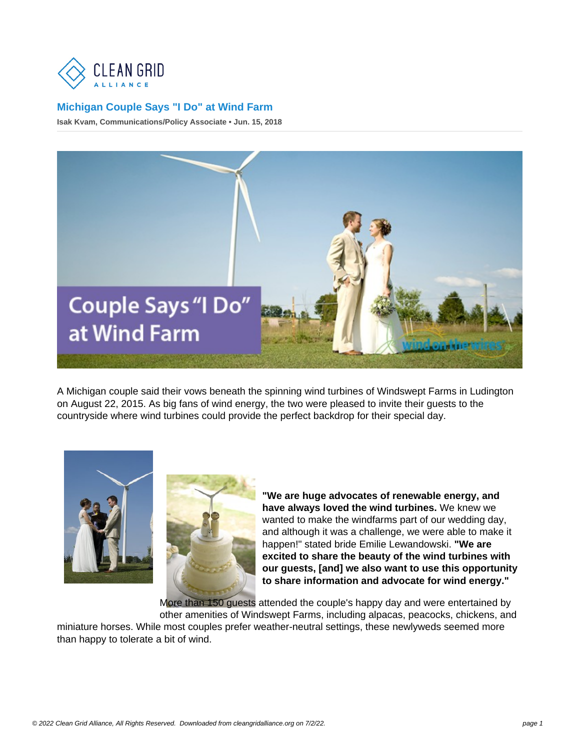## [Michigan Couple Says "I Do" at Wind Farm](https://cleangridalliance.org/blog/72/michigan-couple-says-i-do-at-wind-farm)

Isak Kvam, Communications/Policy Associate • Jun. 15, 2018

A Michigan couple said their vows beneath the spinning wind turbines of Windswept Farms in Ludington on August 22, 2015. As big fans of wind energy, the two were pleased to invite their guests to the countryside where wind turbines could provide the perfect backdrop for their special day.

> "We are huge advocates of renewable energy, and have always loved the wind turbines. We knew we wanted to make the windfarms part of our wedding day, and although it was a challenge, we were able to make it happen!" stated bride Emilie Lewandowski. "We are excited to share the beauty of the wind turbines with our guests, [and] we also want to use this opportunity to share information and advocate for wind energy."

More than 150 guests attended the couple's happy day and were entertained by other amenities of Windswept Farms, including alpacas, peacocks, chickens, and miniature horses. While most couples prefer weather-neutral settings, these newlyweds seemed more than happy to tolerate a bit of wind.